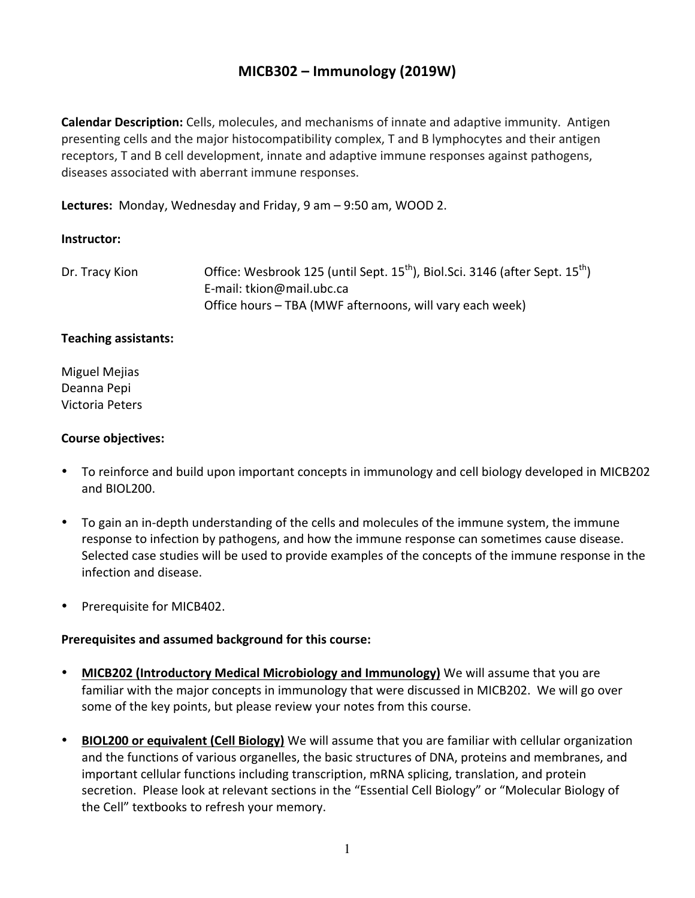# **MICB302 – Immunology (2019W)**

**Calendar Description:** Cells, molecules, and mechanisms of innate and adaptive immunity. Antigen presenting cells and the major histocompatibility complex, T and B lymphocytes and their antigen receptors, T and B cell development, innate and adaptive immune responses against pathogens, diseases associated with aberrant immune responses.

**Lectures:** Monday, Wednesday and Friday, 9 am – 9:50 am, WOOD 2.

### **Instructor:**

| Dr. Tracy Kion | Office: Wesbrook 125 (until Sept. 15 <sup>th</sup> ), Biol.Sci. 3146 (after Sept. 15 <sup>th</sup> ) |
|----------------|------------------------------------------------------------------------------------------------------|
|                | E-mail: tkion@mail.ubc.ca                                                                            |
|                | Office hours - TBA (MWF afternoons, will vary each week)                                             |

#### **Teaching assistants:**

Miguel Mejias Deanna Pepi Victoria Peters

### **Course objectives:**

- To reinforce and build upon important concepts in immunology and cell biology developed in MICB202 and BIOL200.
- To gain an in-depth understanding of the cells and molecules of the immune system, the immune response to infection by pathogens, and how the immune response can sometimes cause disease. Selected case studies will be used to provide examples of the concepts of the immune response in the infection and disease.
- Prerequisite for MICB402.

### **Prerequisites and assumed background for this course:**

- **MICB202 (Introductory Medical Microbiology and Immunology)** We will assume that you are familiar with the major concepts in immunology that were discussed in MICB202. We will go over some of the key points, but please review your notes from this course.
- **BIOL200 or equivalent (Cell Biology)** We will assume that you are familiar with cellular organization and the functions of various organelles, the basic structures of DNA, proteins and membranes, and important cellular functions including transcription, mRNA splicing, translation, and protein secretion. Please look at relevant sections in the "Essential Cell Biology" or "Molecular Biology of the Cell" textbooks to refresh your memory.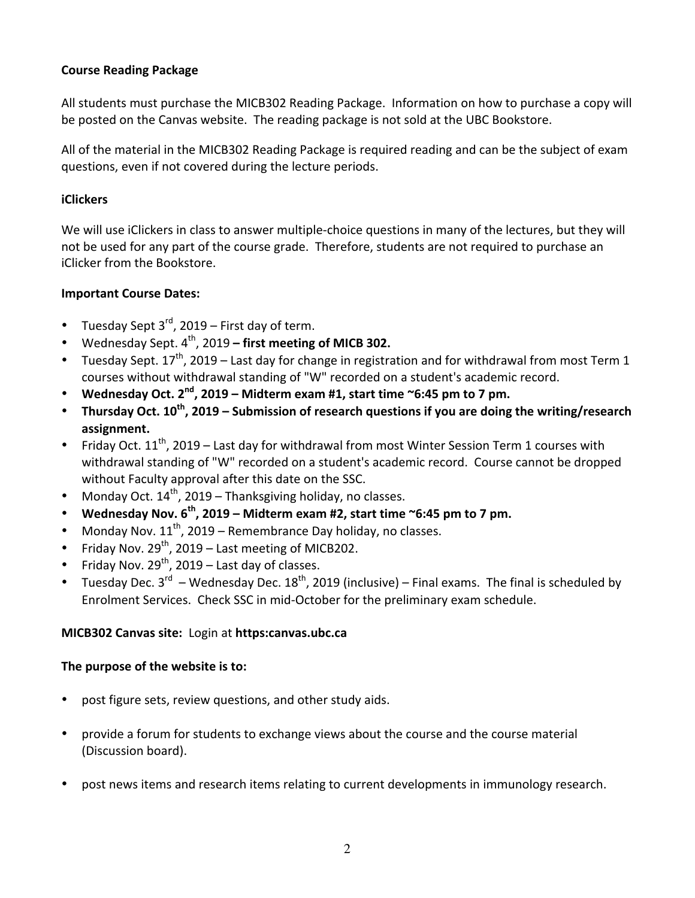### **Course Reading Package**

All students must purchase the MICB302 Reading Package. Information on how to purchase a copy will be posted on the Canvas website. The reading package is not sold at the UBC Bookstore.

All of the material in the MICB302 Reading Package is required reading and can be the subject of exam questions, even if not covered during the lecture periods.

## **iClickers**

We will use iClickers in class to answer multiple-choice questions in many of the lectures, but they will not be used for any part of the course grade. Therefore, students are not required to purchase an iClicker from the Bookstore.

# **Important Course Dates:**

- Tuesday Sept  $3^{rd}$ , 2019 First day of term.
- Wednesday Sept. 4<sup>th</sup>, 2019 first meeting of MICB 302.
- Tuesday Sept.  $17^{th}$ , 2019 Last day for change in registration and for withdrawal from most Term 1 courses without withdrawal standing of "W" recorded on a student's academic record.
- Wednesday Oct.  $2^{nd}$ , 2019 Midterm exam #1, start time  $\sim$ 6:45 pm to 7 pm.
- Thursday Oct. 10<sup>th</sup>, 2019 Submission of research questions if you are doing the writing/research **assignment.**
- Friday Oct.  $11^{th}$ , 2019 Last day for withdrawal from most Winter Session Term 1 courses with withdrawal standing of "W" recorded on a student's academic record. Course cannot be dropped without Faculty approval after this date on the SSC.
- Monday Oct.  $14^{th}$ , 2019 Thanksgiving holiday, no classes.
- Wednesday Nov. 6<sup>th</sup>, 2019 Midterm exam #2, start time ~6:45 pm to 7 pm.
- Monday Nov.  $11^{th}$ , 2019 Remembrance Day holiday, no classes.
- Friday Nov.  $29^{th}$ , 2019 Last meeting of MICB202.
- Friday Nov.  $29^{th}$ , 2019 Last day of classes.
- Tuesday Dec.  $3^{rd}$  Wednesday Dec.  $18^{th}$ , 2019 (inclusive) Final exams. The final is scheduled by Enrolment Services. Check SSC in mid-October for the preliminary exam schedule.

# **MICB302 Canvas site:** Login at **https:canvas.ubc.ca**

### The purpose of the website is to:

- post figure sets, review questions, and other study aids.
- provide a forum for students to exchange views about the course and the course material (Discussion board).
- post news items and research items relating to current developments in immunology research.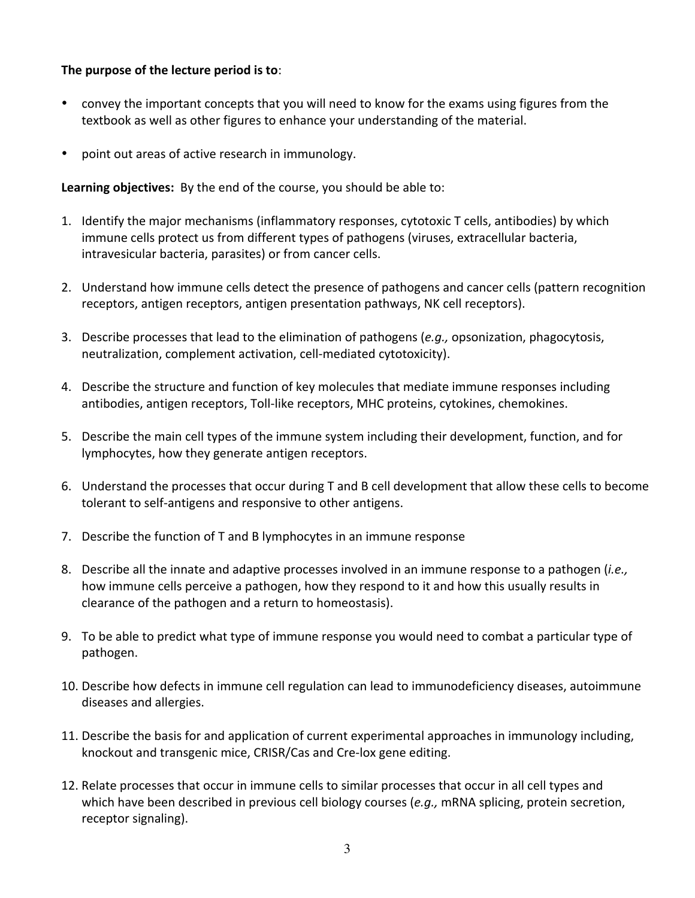### The purpose of the lecture period is to:

- convey the important concepts that you will need to know for the exams using figures from the textbook as well as other figures to enhance your understanding of the material.
- point out areas of active research in immunology.

Learning objectives: By the end of the course, you should be able to:

- 1. Identify the major mechanisms (inflammatory responses, cytotoxic T cells, antibodies) by which immune cells protect us from different types of pathogens (viruses, extracellular bacteria, intravesicular bacteria, parasites) or from cancer cells.
- 2. Understand how immune cells detect the presence of pathogens and cancer cells (pattern recognition receptors, antigen receptors, antigen presentation pathways, NK cell receptors).
- 3. Describe processes that lead to the elimination of pathogens (*e.g.,* opsonization, phagocytosis, neutralization, complement activation, cell-mediated cytotoxicity).
- 4. Describe the structure and function of key molecules that mediate immune responses including antibodies, antigen receptors, Toll-like receptors, MHC proteins, cytokines, chemokines.
- 5. Describe the main cell types of the immune system including their development, function, and for lymphocytes, how they generate antigen receptors.
- 6. Understand the processes that occur during T and B cell development that allow these cells to become tolerant to self-antigens and responsive to other antigens.
- 7. Describe the function of T and B lymphocytes in an immune response
- 8. Describe all the innate and adaptive processes involved in an immune response to a pathogen *(i.e.,* how immune cells perceive a pathogen, how they respond to it and how this usually results in clearance of the pathogen and a return to homeostasis).
- 9. To be able to predict what type of immune response you would need to combat a particular type of pathogen.
- 10. Describe how defects in immune cell regulation can lead to immunodeficiency diseases, autoimmune diseases and allergies.
- 11. Describe the basis for and application of current experimental approaches in immunology including, knockout and transgenic mice, CRISR/Cas and Cre-lox gene editing.
- 12. Relate processes that occur in immune cells to similar processes that occur in all cell types and which have been described in previous cell biology courses (*e.g.,* mRNA splicing, protein secretion, receptor signaling).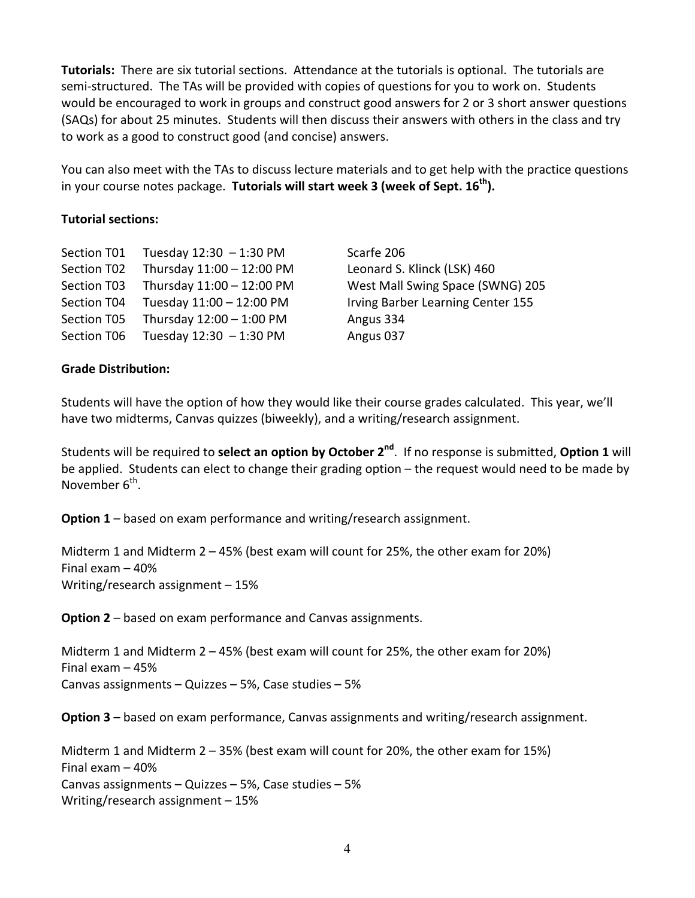**Tutorials:** There are six tutorial sections. Attendance at the tutorials is optional. The tutorials are semi-structured. The TAs will be provided with copies of questions for you to work on. Students would be encouraged to work in groups and construct good answers for 2 or 3 short answer questions (SAQs) for about 25 minutes. Students will then discuss their answers with others in the class and try to work as a good to construct good (and concise) answers.

You can also meet with the TAs to discuss lecture materials and to get help with the practice questions in your course notes package. Tutorials will start week 3 (week of Sept. 16<sup>th</sup>).

### **Tutorial sections:**

| Section T01 | Tuesday 12:30 - 1:30 PM   |
|-------------|---------------------------|
| Section T02 | Thursday 11:00 - 12:00 PM |
| Section T03 | Thursday 11:00 - 12:00 PM |
| Section T04 | Tuesday 11:00 - 12:00 PM  |
| Section T05 | Thursday 12:00 - 1:00 PM  |
| Section T06 | Tuesday 12:30 - 1:30 PM   |

Scarfe 206 Leonard S. Klinck (LSK) 460 West Mall Swing Space (SWNG) 205 Irving Barber Learning Center 155 Angus 334 Angus 037

### **Grade Distribution:**

Students will have the option of how they would like their course grades calculated. This year, we'll have two midterms, Canvas quizzes (biweekly), and a writing/research assignment.

Students will be required to **select an option by October 2<sup>nd</sup>**. If no response is submitted, **Option 1** will be applied. Students can elect to change their grading option – the request would need to be made by November  $6^{th}$ .

**Option 1** – based on exam performance and writing/research assignment.

Midterm 1 and Midterm  $2 - 45%$  (best exam will count for 25%, the other exam for 20%) Final  $exam - 40%$ Writing/research assignment  $-15%$ 

**Option 2** – based on exam performance and Canvas assignments.

Midterm 1 and Midterm  $2 - 45%$  (best exam will count for 25%, the other exam for 20%) Final exam  $-45%$ Canvas assignments – Quizzes – 5%, Case studies – 5%

**Option 3** – based on exam performance, Canvas assignments and writing/research assignment.

Midterm 1 and Midterm  $2 - 35%$  (best exam will count for  $20%$ , the other exam for  $15%$ ) Final exam  $-40%$ Canvas assignments – Quizzes – 5%, Case studies – 5% Writing/research assignment  $-15%$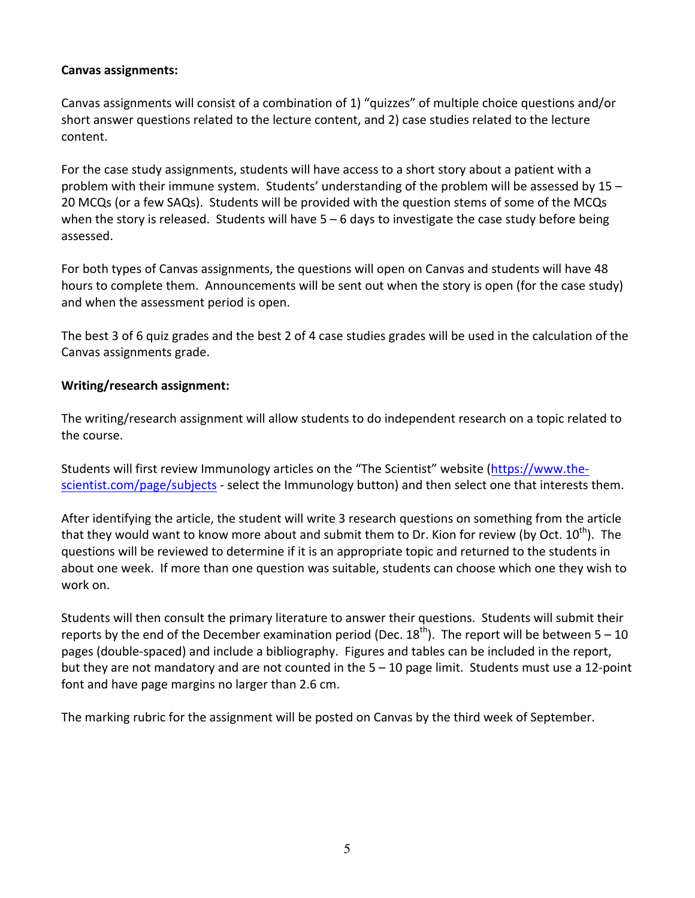### **Canvas assignments:**

Canvas assignments will consist of a combination of 1) "quizzes" of multiple choice questions and/or short answer questions related to the lecture content, and 2) case studies related to the lecture content. 

For the case study assignments, students will have access to a short story about a patient with a problem with their immune system. Students' understanding of the problem will be assessed by  $15 -$ 20 MCQs (or a few SAQs). Students will be provided with the question stems of some of the MCQs when the story is released. Students will have  $5 - 6$  days to investigate the case study before being assessed. 

For both types of Canvas assignments, the questions will open on Canvas and students will have 48 hours to complete them. Announcements will be sent out when the story is open (for the case study) and when the assessment period is open.

The best 3 of 6 quiz grades and the best 2 of 4 case studies grades will be used in the calculation of the Canvas assignments grade.

# **Writing/research assignment:**

The writing/research assignment will allow students to do independent research on a topic related to the course.

Students will first review Immunology articles on the "The Scientist" website (https://www.thescientist.com/page/subjects - select the Immunology button) and then select one that interests them.

After identifying the article, the student will write 3 research questions on something from the article that they would want to know more about and submit them to Dr. Kion for review (by Oct.  $10^{\text{th}}$ ). The questions will be reviewed to determine if it is an appropriate topic and returned to the students in about one week. If more than one question was suitable, students can choose which one they wish to work on.

Students will then consult the primary literature to answer their questions. Students will submit their reports by the end of the December examination period (Dec.  $18^{th}$ ). The report will be between  $5 - 10$ pages (double-spaced) and include a bibliography. Figures and tables can be included in the report, but they are not mandatory and are not counted in the  $5 - 10$  page limit. Students must use a 12-point font and have page margins no larger than 2.6 cm.

The marking rubric for the assignment will be posted on Canvas by the third week of September.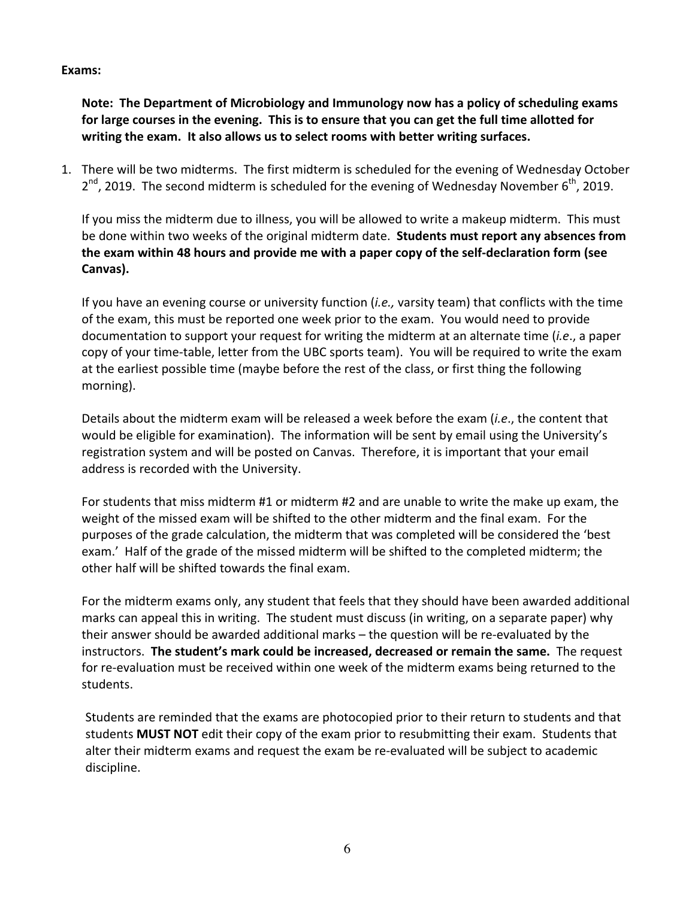#### **Exams:**

Note: The Department of Microbiology and Immunology now has a policy of scheduling exams for large courses in the evening. This is to ensure that you can get the full time allotted for writing the exam. It also allows us to select rooms with better writing surfaces.

1. There will be two midterms. The first midterm is scheduled for the evening of Wednesday October  $2^{nd}$ , 2019. The second midterm is scheduled for the evening of Wednesday November  $6^{th}$ , 2019.

If you miss the midterm due to illness, you will be allowed to write a makeup midterm. This must be done within two weeks of the original midterm date. Students must report any absences from **the exam within 48 hours and provide me with a paper copy of the self-declaration form (see Canvas).**

If you have an evening course or university function (*i.e.,* varsity team) that conflicts with the time of the exam, this must be reported one week prior to the exam. You would need to provide documentation to support your request for writing the midterm at an alternate time (*i.e.*, a paper copy of your time-table, letter from the UBC sports team). You will be required to write the exam at the earliest possible time (maybe before the rest of the class, or first thing the following morning).

Details about the midterm exam will be released a week before the exam (*i.e.*, the content that would be eligible for examination). The information will be sent by email using the University's registration system and will be posted on Canvas. Therefore, it is important that your email address is recorded with the University.

For students that miss midterm #1 or midterm #2 and are unable to write the make up exam, the weight of the missed exam will be shifted to the other midterm and the final exam. For the purposes of the grade calculation, the midterm that was completed will be considered the 'best exam.' Half of the grade of the missed midterm will be shifted to the completed midterm; the other half will be shifted towards the final exam.

For the midterm exams only, any student that feels that they should have been awarded additional marks can appeal this in writing. The student must discuss (in writing, on a separate paper) why their answer should be awarded additional marks – the question will be re-evaluated by the instructors. The student's mark could be increased, decreased or remain the same. The request for re-evaluation must be received within one week of the midterm exams being returned to the students. 

Students are reminded that the exams are photocopied prior to their return to students and that students **MUST NOT** edit their copy of the exam prior to resubmitting their exam. Students that alter their midterm exams and request the exam be re-evaluated will be subject to academic discipline.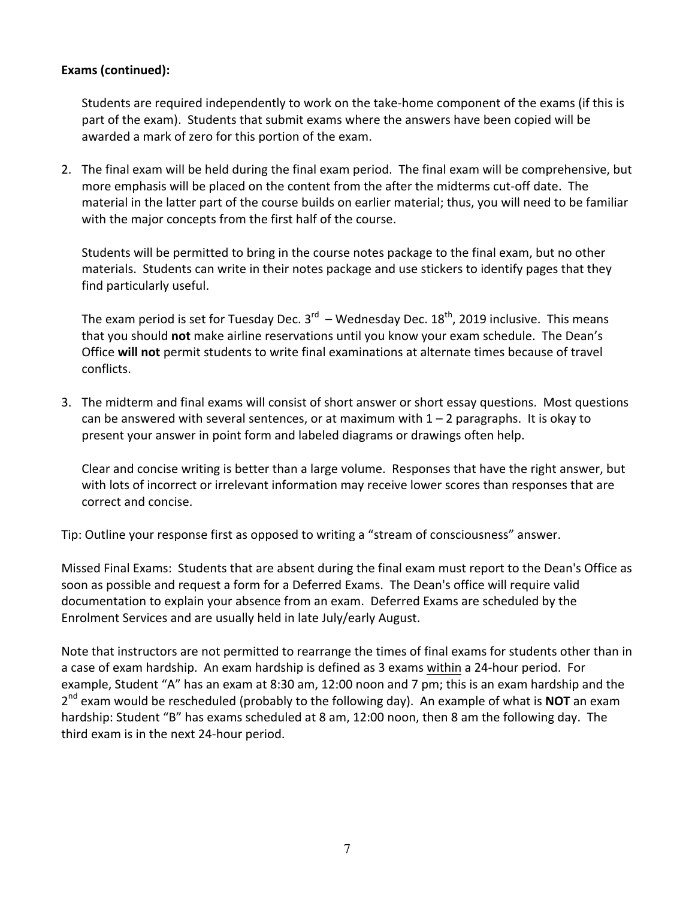### **Exams (continued):**

Students are required independently to work on the take-home component of the exams (if this is part of the exam). Students that submit exams where the answers have been copied will be awarded a mark of zero for this portion of the exam.

2. The final exam will be held during the final exam period. The final exam will be comprehensive, but more emphasis will be placed on the content from the after the midterms cut-off date. The material in the latter part of the course builds on earlier material; thus, you will need to be familiar with the major concepts from the first half of the course.

Students will be permitted to bring in the course notes package to the final exam, but no other materials. Students can write in their notes package and use stickers to identify pages that they find particularly useful.

The exam period is set for Tuesday Dec.  $3^{rd}$  – Wednesday Dec.  $18^{th}$ , 2019 inclusive. This means that you should not make airline reservations until you know your exam schedule. The Dean's Office **will not** permit students to write final examinations at alternate times because of travel conflicts.

3. The midterm and final exams will consist of short answer or short essay questions. Most questions can be answered with several sentences, or at maximum with  $1 - 2$  paragraphs. It is okay to present your answer in point form and labeled diagrams or drawings often help.

Clear and concise writing is better than a large volume. Responses that have the right answer, but with lots of incorrect or irrelevant information may receive lower scores than responses that are correct and concise.

Tip: Outline your response first as opposed to writing a "stream of consciousness" answer.

Missed Final Exams: Students that are absent during the final exam must report to the Dean's Office as soon as possible and request a form for a Deferred Exams. The Dean's office will require valid documentation to explain your absence from an exam. Deferred Exams are scheduled by the Enrolment Services and are usually held in late July/early August.

Note that instructors are not permitted to rearrange the times of final exams for students other than in a case of exam hardship. An exam hardship is defined as 3 exams within a 24-hour period. For example, Student "A" has an exam at 8:30 am, 12:00 noon and 7 pm; this is an exam hardship and the  $2<sup>nd</sup>$  exam would be rescheduled (probably to the following day). An example of what is **NOT** an exam hardship: Student "B" has exams scheduled at 8 am, 12:00 noon, then 8 am the following day. The third exam is in the next 24-hour period.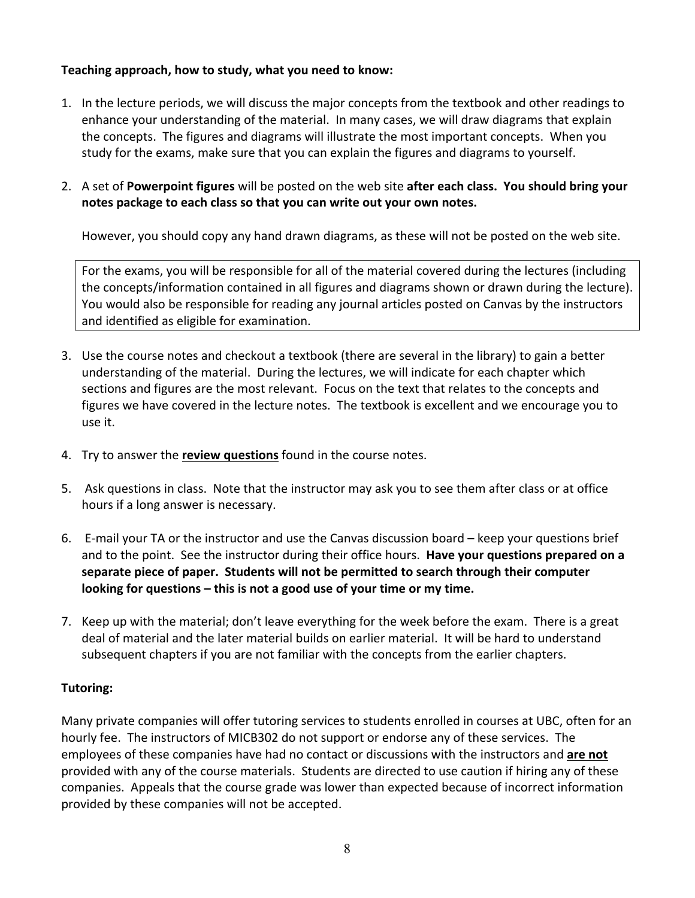# Teaching approach, how to study, what you need to know:

- 1. In the lecture periods, we will discuss the major concepts from the textbook and other readings to enhance your understanding of the material. In many cases, we will draw diagrams that explain the concepts. The figures and diagrams will illustrate the most important concepts. When you study for the exams, make sure that you can explain the figures and diagrams to yourself.
- 2. A set of Powerpoint figures will be posted on the web site after each class. You should bring your notes package to each class so that you can write out your own notes.

However, you should copy any hand drawn diagrams, as these will not be posted on the web site.

For the exams, you will be responsible for all of the material covered during the lectures (including the concepts/information contained in all figures and diagrams shown or drawn during the lecture). You would also be responsible for reading any journal articles posted on Canvas by the instructors and identified as eligible for examination.

- 3. Use the course notes and checkout a textbook (there are several in the library) to gain a better understanding of the material. During the lectures, we will indicate for each chapter which sections and figures are the most relevant. Focus on the text that relates to the concepts and figures we have covered in the lecture notes. The textbook is excellent and we encourage you to use it.
- 4. Try to answer the **review questions** found in the course notes.
- 5. Ask questions in class. Note that the instructor may ask you to see them after class or at office hours if a long answer is necessary.
- 6. E-mail your TA or the instructor and use the Canvas discussion board  $-$  keep your questions brief and to the point. See the instructor during their office hours. **Have your questions prepared on a** separate piece of paper. Students will not be permitted to search through their computer **looking for questions** – this is not a good use of your time or my time.
- 7. Keep up with the material; don't leave everything for the week before the exam. There is a great deal of material and the later material builds on earlier material. It will be hard to understand subsequent chapters if you are not familiar with the concepts from the earlier chapters.

# **Tutoring:**

Many private companies will offer tutoring services to students enrolled in courses at UBC, often for an hourly fee. The instructors of MICB302 do not support or endorse any of these services. The employees of these companies have had no contact or discussions with the instructors and are not provided with any of the course materials. Students are directed to use caution if hiring any of these companies. Appeals that the course grade was lower than expected because of incorrect information provided by these companies will not be accepted.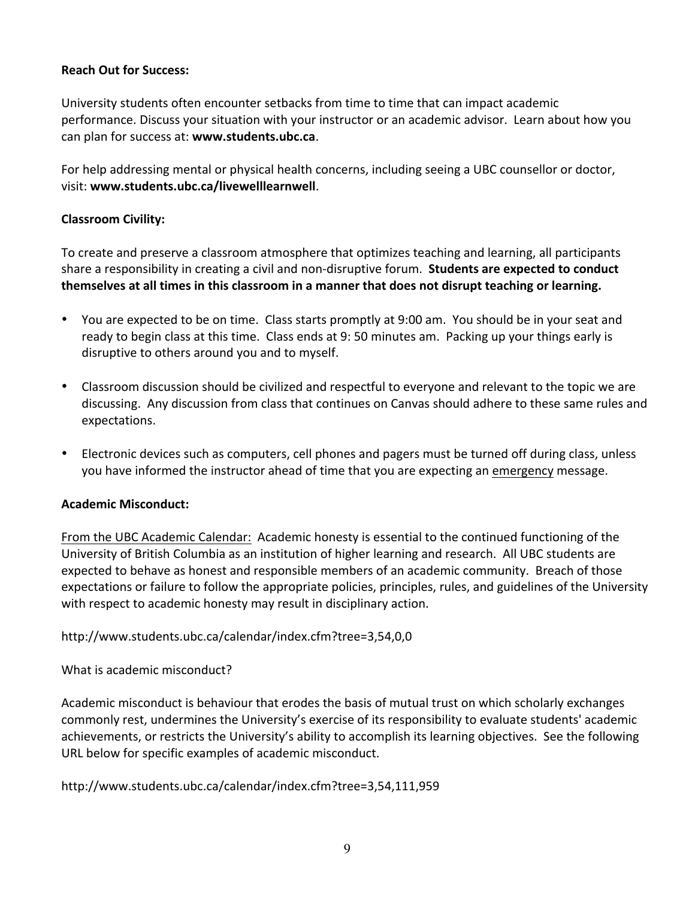### **Reach Out for Success:**

University students often encounter setbacks from time to time that can impact academic performance. Discuss your situation with your instructor or an academic advisor. Learn about how you can plan for success at: www.students.ubc.ca.

For help addressing mental or physical health concerns, including seeing a UBC counsellor or doctor, visit: www.students.ubc.ca/livewelllearnwell.

## **Classroom Civility:**

To create and preserve a classroom atmosphere that optimizes teaching and learning, all participants share a responsibility in creating a civil and non-disruptive forum. **Students are expected to conduct** themselves at all times in this classroom in a manner that does not disrupt teaching or learning.

- You are expected to be on time. Class starts promptly at 9:00 am. You should be in your seat and ready to begin class at this time. Class ends at 9: 50 minutes am. Packing up your things early is disruptive to others around you and to myself.
- Classroom discussion should be civilized and respectful to everyone and relevant to the topic we are discussing. Any discussion from class that continues on Canvas should adhere to these same rules and expectations.
- Electronic devices such as computers, cell phones and pagers must be turned off during class, unless you have informed the instructor ahead of time that you are expecting an emergency message.

### **Academic Misconduct:**

From the UBC Academic Calendar: Academic honesty is essential to the continued functioning of the University of British Columbia as an institution of higher learning and research. All UBC students are expected to behave as honest and responsible members of an academic community. Breach of those expectations or failure to follow the appropriate policies, principles, rules, and guidelines of the University with respect to academic honesty may result in disciplinary action.

http://www.students.ubc.ca/calendar/index.cfm?tree=3,54,0,0

What is academic misconduct?

Academic misconduct is behaviour that erodes the basis of mutual trust on which scholarly exchanges commonly rest, undermines the University's exercise of its responsibility to evaluate students' academic achievements, or restricts the University's ability to accomplish its learning objectives. See the following URL below for specific examples of academic misconduct.

http://www.students.ubc.ca/calendar/index.cfm?tree=3,54,111,959